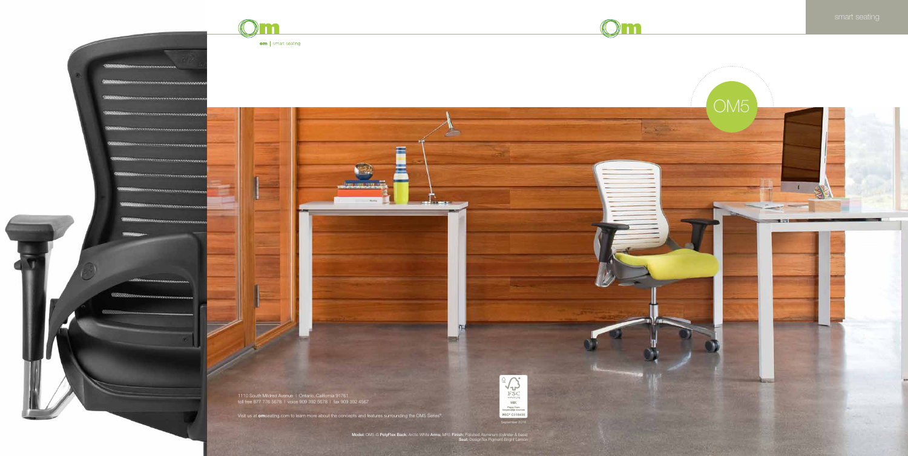

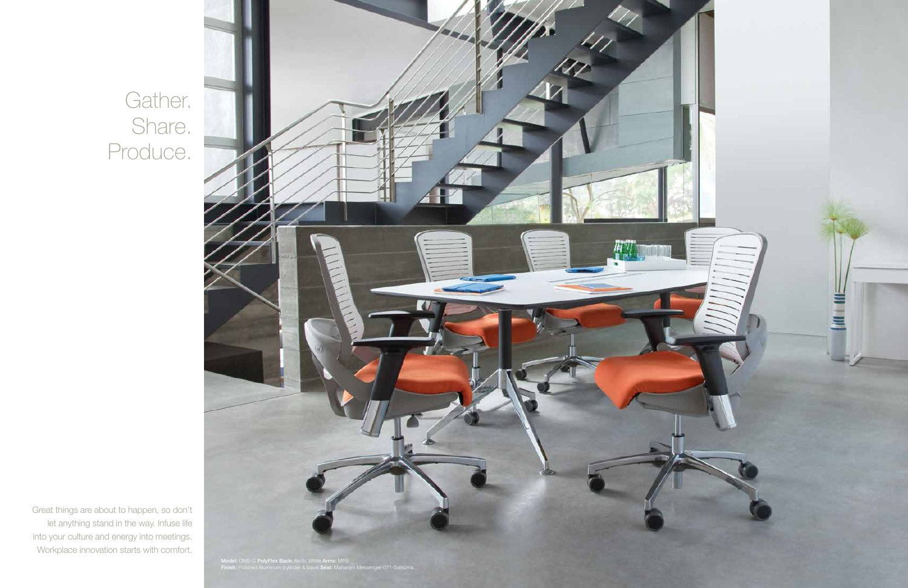Gather. Share. Produce.

Great things are about to happen, so don't let anything stand in the way. Infuse life into your culture and energy into meetings. Workplace innovation starts with comfort.

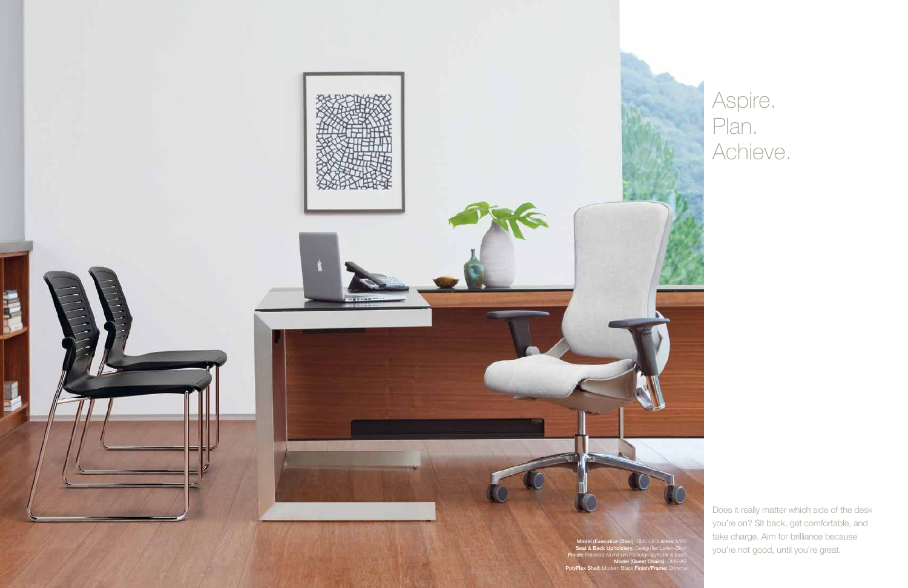Does it really matter which side of the desk you're on? Sit back, get comfortable, and take charge. Aim for brilliance because you're not good, until you're great.



Model (Executive Chair): OM5-GEX Arms: MR5 Seat & Back Upholstery: DesignTex Lorien-Birch Finish: Polished Aluminum Package (cylinder & base) Model (Guest Chairs): OM5-AS PolyFlex Shell: Modern Black Finish/Frame: Chrome



## Aspire. Plan. Achieve.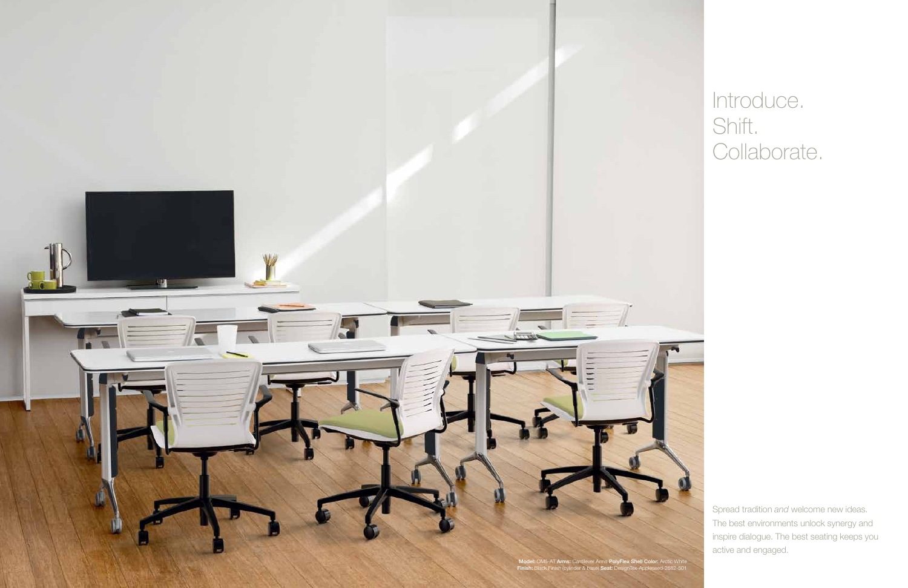

# Introduce. Shift. Collaborate.

Spread tradition *and* welcome new ideas. The best environments unlock synergy and inspire dialogue. The best seating keeps you active and engaged.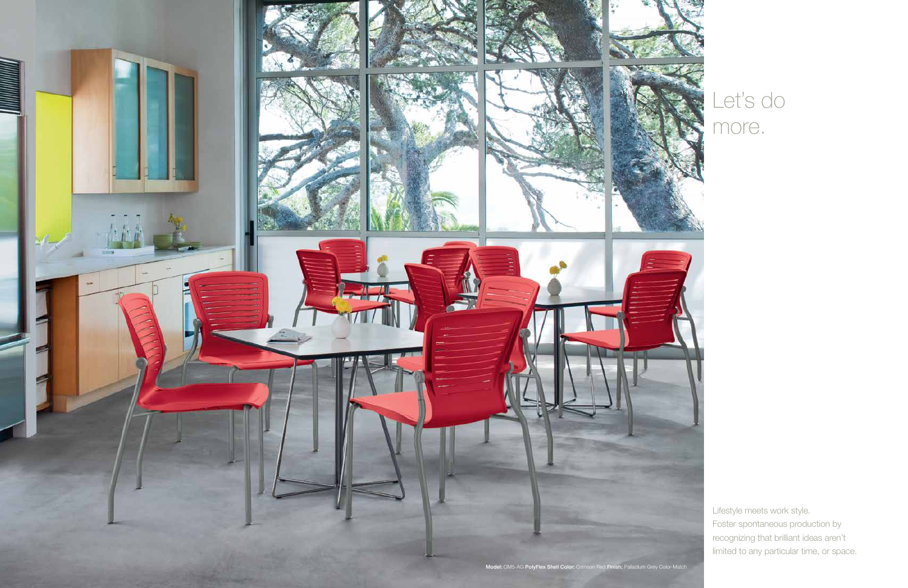Lifestyle meets work style. Foster spontaneous production by recognizing that brilliant ideas aren't limited to any particular time, or space.

# Let's do more.